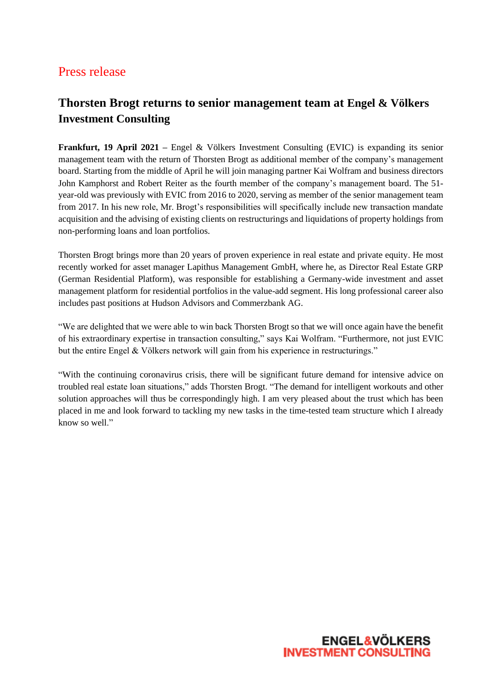## Press release

# **Thorsten Brogt returns to senior management team at Engel & Völkers Investment Consulting**

**Frankfurt, 19 April 2021 –** Engel & Völkers Investment Consulting (EVIC) is expanding its senior management team with the return of Thorsten Brogt as additional member of the company's management board. Starting from the middle of April he will join managing partner Kai Wolfram and business directors John Kamphorst and Robert Reiter as the fourth member of the company's management board. The 51 year-old was previously with EVIC from 2016 to 2020, serving as member of the senior management team from 2017. In his new role, Mr. Brogt's responsibilities will specifically include new transaction mandate acquisition and the advising of existing clients on restructurings and liquidations of property holdings from non-performing loans and loan portfolios.

Thorsten Brogt brings more than 20 years of proven experience in real estate and private equity. He most recently worked for asset manager Lapithus Management GmbH, where he, as Director Real Estate GRP (German Residential Platform), was responsible for establishing a Germany-wide investment and asset management platform for residential portfolios in the value-add segment. His long professional career also includes past positions at Hudson Advisors and Commerzbank AG.

"We are delighted that we were able to win back Thorsten Brogt so that we will once again have the benefit of his extraordinary expertise in transaction consulting," says Kai Wolfram. "Furthermore, not just EVIC but the entire Engel & Völkers network will gain from his experience in restructurings."

"With the continuing coronavirus crisis, there will be significant future demand for intensive advice on troubled real estate loan situations," adds Thorsten Brogt. "The demand for intelligent workouts and other solution approaches will thus be correspondingly high. I am very pleased about the trust which has been placed in me and look forward to tackling my new tasks in the time-tested team structure which I already know so well."